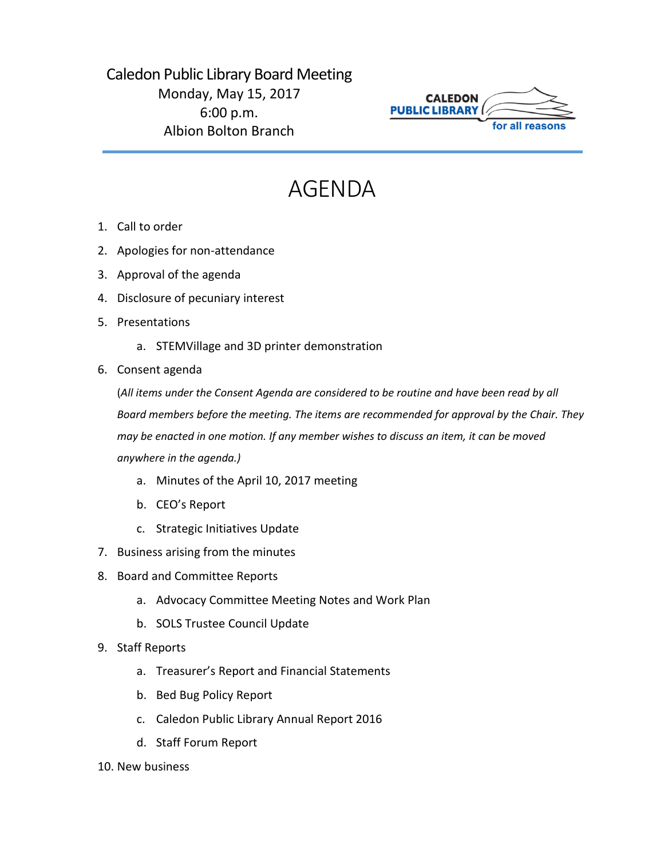## Caledon Public Library Board Meeting Monday, May 15, 2017 6:00 p.m. Albion Bolton Branch



## AGENDA

- 1. Call to order
- 2. Apologies for non-attendance
- 3. Approval of the agenda
- 4. Disclosure of pecuniary interest
- 5. Presentations
	- a. STEMVillage and 3D printer demonstration
- 6. Consent agenda

(*All items under the Consent Agenda are considered to be routine and have been read by all Board members before the meeting. The items are recommended for approval by the Chair. They may be enacted in one motion. If any member wishes to discuss an item, it can be moved anywhere in the agenda.)*

- a. Minutes of the April 10, 2017 meeting
- b. CEO's Report
- c. Strategic Initiatives Update
- 7. Business arising from the minutes
- 8. Board and Committee Reports
	- a. Advocacy Committee Meeting Notes and Work Plan
	- b. SOLS Trustee Council Update
- 9. Staff Reports
	- a. Treasurer's Report and Financial Statements
	- b. Bed Bug Policy Report
	- c. Caledon Public Library Annual Report 2016
	- d. Staff Forum Report
- 10. New business